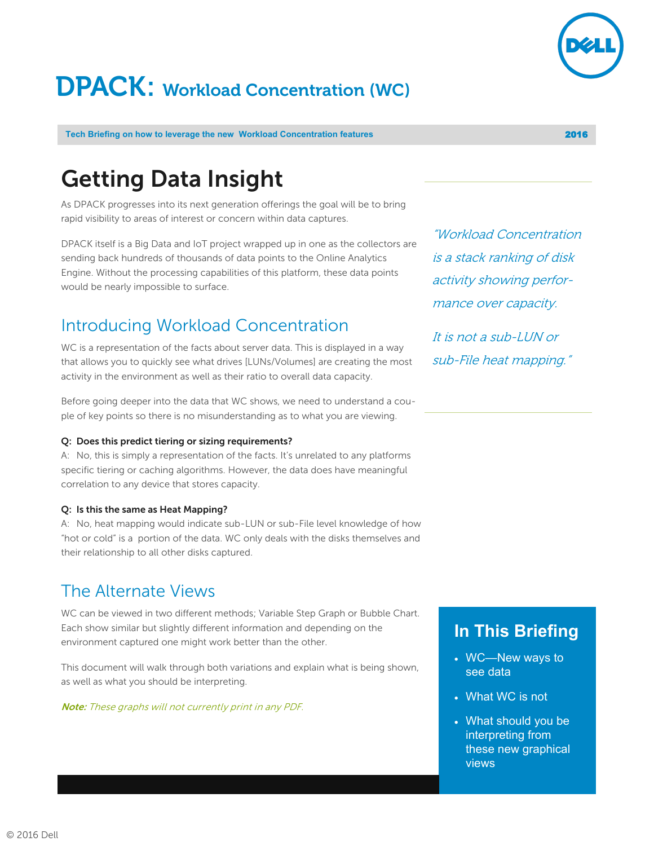# **DPACK: Workload Concentration (WC)**

#### **Tech Briefing on how to leverage the new Workload Concentration features 2016 2016**

## **Getting Data Insight**

As DPACK progresses into its next generation offerings the goal will be to bring rapid visibility to areas of interest or concern within data captures.

DPACK itself is a Big Data and IoT project wrapped up in one as the collectors are sending back hundreds of thousands of data points to the Online Analytics Engine. Without the processing capabilities of this platform, these data points would be nearly impossible to surface.

### Introducing Workload Concentration

WC is a representation of the facts about server data. This is displayed in a way that allows you to quickly see what drives [LUNs/Volumes] are creating the most activity in the environment as well as their ratio to overall data capacity.

Before going deeper into the data that WC shows, we need to understand a couple of key points so there is no misunderstanding as to what you are viewing.

#### **Q: Does this predict tiering or sizing requirements?**

A: No, this is simply a representation of the facts. It's unrelated to any platforms specific tiering or caching algorithms. However, the data does have meaningful correlation to any device that stores capacity.

#### **Q: Is this the same as Heat Mapping?**

A: No, heat mapping would indicate sub-LUN or sub-File level knowledge of how "hot or cold" is a portion of the data. WC only deals with the disks themselves and their relationship to all other disks captured.

### The Alternate Views

WC can be viewed in two different methods; Variable Step Graph or Bubble Chart. Each show similar but slightly different information and depending on the environment captured one might work better than the other.

This document will walk through both variations and explain what is being shown, as well as what you should be interpreting.

**Note:** These graphs will not currently print in any PDF.

"Workload Concentration is a stack ranking of disk activity showing performance over capacity.

It is not a sub-LUN or sub-File heat mapping."

### **In This Briefing**

- WC—New ways to see data
- What WC is not
- What should you be interpreting from these new graphical views

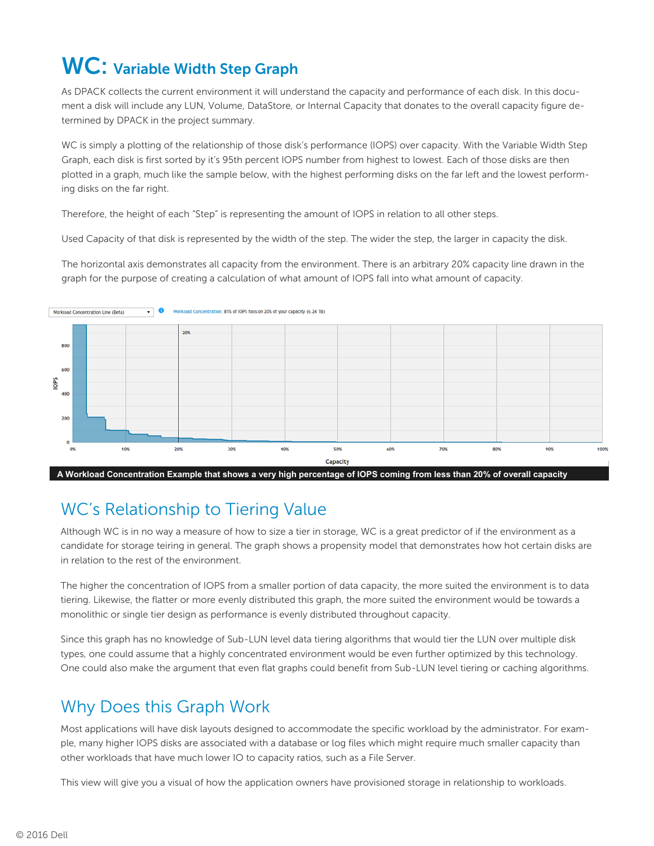## **WC: Variable Width Step Graph**

As DPACK collects the current environment it will understand the capacity and performance of each disk. In this document a disk will include any LUN, Volume, DataStore, or Internal Capacity that donates to the overall capacity figure determined by DPACK in the project summary.

WC is simply a plotting of the relationship of those disk's performance (IOPS) over capacity. With the Variable Width Step Graph, each disk is first sorted by it's 95th percent IOPS number from highest to lowest. Each of those disks are then plotted in a graph, much like the sample below, with the highest performing disks on the far left and the lowest performing disks on the far right.

Therefore, the height of each "Step" is representing the amount of IOPS in relation to all other steps.

Used Capacity of that disk is represented by the width of the step. The wider the step, the larger in capacity the disk.

The horizontal axis demonstrates all capacity from the environment. There is an arbitrary 20% capacity line drawn in the graph for the purpose of creating a calculation of what amount of IOPS fall into what amount of capacity.



**A Workload Concentration Example that shows a very high percentage of IOPS coming from less than 20% of overall capacity**

### WC's Relationship to Tiering Value

Although WC is in no way a measure of how to size a tier in storage, WC is a great predictor of if the environment as a candidate for storage teiring in general. The graph shows a propensity model that demonstrates how hot certain disks are in relation to the rest of the environment.

The higher the concentration of IOPS from a smaller portion of data capacity, the more suited the environment is to data tiering. Likewise, the flatter or more evenly distributed this graph, the more suited the environment would be towards a monolithic or single tier design as performance is evenly distributed throughout capacity.

Since this graph has no knowledge of Sub-LUN level data tiering algorithms that would tier the LUN over multiple disk types, one could assume that a highly concentrated environment would be even further optimized by this technology. One could also make the argument that even flat graphs could benefit from Sub-LUN level tiering or caching algorithms.

### Why Does this Graph Work

Most applications will have disk layouts designed to accommodate the specific workload by the administrator. For example, many higher IOPS disks are associated with a database or log files which might require much smaller capacity than other workloads that have much lower IO to capacity ratios, such as a File Server.

This view will give you a visual of how the application owners have provisioned storage in relationship to workloads.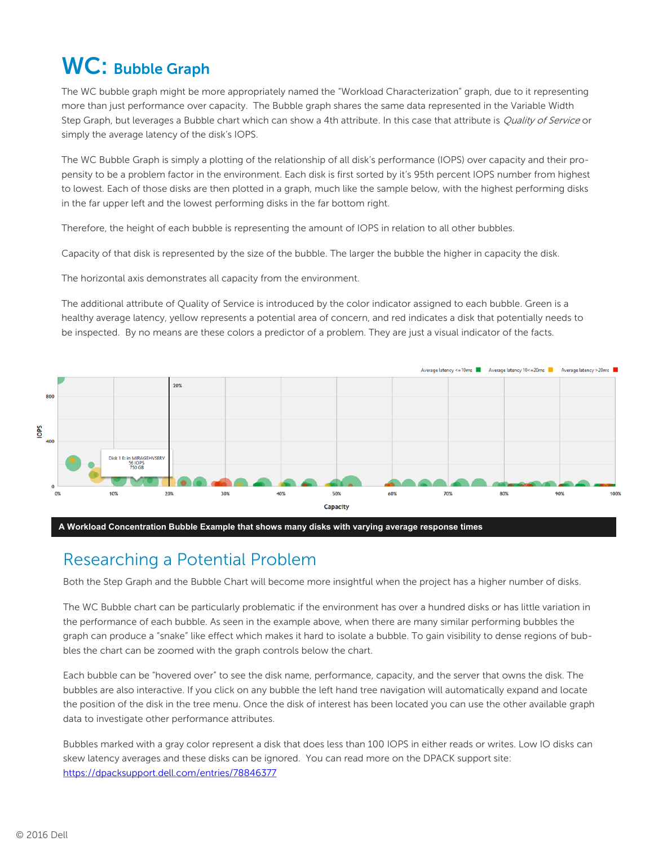## **WC: Bubble Graph**

The WC bubble graph might be more appropriately named the "Workload Characterization" graph, due to it representing more than just performance over capacity. The Bubble graph shares the same data represented in the Variable Width Step Graph, but leverages a Bubble chart which can show a 4th attribute. In this case that attribute is *Quality of Service* or simply the average latency of the disk's IOPS.

The WC Bubble Graph is simply a plotting of the relationship of all disk's performance (IOPS) over capacity and their propensity to be a problem factor in the environment. Each disk is first sorted by it's 95th percent IOPS number from highest to lowest. Each of those disks are then plotted in a graph, much like the sample below, with the highest performing disks in the far upper left and the lowest performing disks in the far bottom right.

Therefore, the height of each bubble is representing the amount of IOPS in relation to all other bubbles.

Capacity of that disk is represented by the size of the bubble. The larger the bubble the higher in capacity the disk.

The horizontal axis demonstrates all capacity from the environment.

The additional attribute of Quality of Service is introduced by the color indicator assigned to each bubble. Green is a healthy average latency, yellow represents a potential area of concern, and red indicates a disk that potentially needs to be inspected. By no means are these colors a predictor of a problem. They are just a visual indicator of the facts.





### Researching a Potential Problem

Both the Step Graph and the Bubble Chart will become more insightful when the project has a higher number of disks.

The WC Bubble chart can be particularly problematic if the environment has over a hundred disks or has little variation in the performance of each bubble. As seen in the example above, when there are many similar performing bubbles the graph can produce a "snake" like effect which makes it hard to isolate a bubble. To gain visibility to dense regions of bubbles the chart can be zoomed with the graph controls below the chart.

Each bubble can be "hovered over" to see the disk name, performance, capacity, and the server that owns the disk. The bubbles are also interactive. If you click on any bubble the left hand tree navigation will automatically expand and locate the position of the disk in the tree menu. Once the disk of interest has been located you can use the other available graph data to investigate other performance attributes.

Bubbles marked with a gray color represent a disk that does less than 100 IOPS in either reads or writes. Low IO disks can skew latency averages and these disks can be ignored. You can read more on the DPACK support site: <https://dpacksupport.dell.com/entries/78846377>